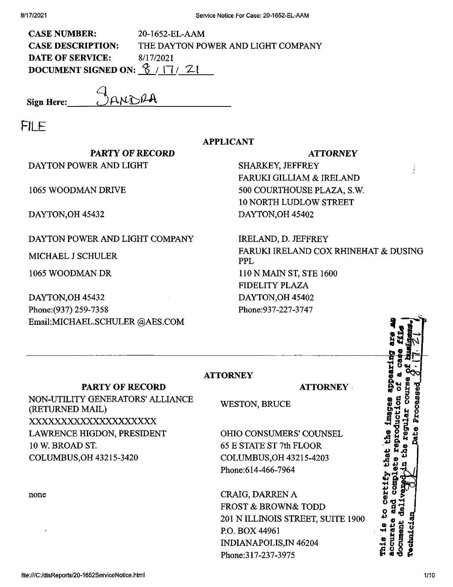| <b>CASE NUMBER:</b>                                    | $20-1652$ -EL-AAM                  |
|--------------------------------------------------------|------------------------------------|
| <b>CASE DESCRIPTION:</b>                               | THE DAYTON POWER AND LIGHT COMPANY |
| <b>DATE OF SERVICE:</b>                                | 8/17/2021                          |
| DOCUMENT SIGNED ON: $\frac{6}{5}$ / $\frac{7}{7}$ / 21 |                                    |

**Sign Here:\_**

FILE

## **APPLICANT**

## **PARTY OF RECORD** DAYTON POWER AND LIGHT

1065 WOODMAN DRIVE

DAYTON,OH 45432

## DAYTON POWER AND LIGHT COMPANY

MICHAEL J SCHULER

1065 WOODMAN DR

DAYTON,OH 45432 Phone:(937) 259-7358 EmaiLMICHAEL.SCHULER ©AES.COM

## **ATTORNEY**

SHARKEY, JEFFREY FARUKI GILLIAM & IRELAND 500 COURTHOUSE PLAZA, S.W. 10 NORTH LUDLOW STREET DAYTON,OH 45402

IRELAND, D. JEFFREY FARUKI IRELAND COX RHINEHAT & DUSING PPL

**ATTORNEY**

110 N MAIN ST, STE 1600 FIDELITY PLAZA DAYTON,OH 45402 Phone:937-227-3747

**PARTY OF RECORD**

NON-UTILITY GENERATORS' ALLIANCE (RETURNED MAIL) XXXXXXXXXXXXXXXXXXXX LAWRENCE HIGDON, PRESIDENT 10 W. BROAD ST COLUMBUS,OH 43215-3420

none

WESTON, BRUCE

**ATTORNEY**

OHIO CONSUMERS' COUNSEL 65 E STATE ST 7th FLOOR COLUMBUS,OH 43215-4203 Phone:614-466-7964

CRAIG, DARREN A FROST & BROWN& TODD 201 N ILLINOIS STREET, SUITE 1900 RO. BOX 44961 INDIANAPOLIS,IN 46204 Phone:317-237-3975

**£** to certii .<br><del>기</del>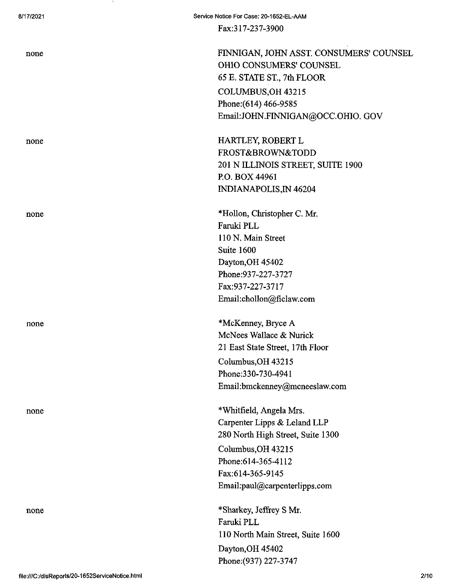none none

none

none

none

Fax:317-237-3900

none FINNIGAN, JOHN ASST. CONSUMERS' COUNSEL OHIO CONSUMERS' COUNSEL 65 E. STATE ST., 7th FLOOR COLUMBUS,OH 43215 Phone:(614) 466-9585 Email:JOHN.FINNIGAN@OCC.OHIO. GOV

none HARTLEY, ROBERT L FROST&BROWN&TODD 201 N ILLINOIS STREET, SUITE 1900 RO. BOX 44961 INDIANAPOLIS,IN 46204

> \*Hollon, Christopher C. Mr. Faruki PLL 110 N. Main Street Suite 1600 Dayton,OH 45402 Phone:937-227-3727 Fax:937-227-3717 Email:chollon@ficlaw.com

\*McKenney, Bryce A McNees Wallace & Nurick 21 East State Street, 17th Floor Columbus,OH 43215 Phone:330-730-4941 Email:bmckenney@mcneeslaw.com

\*Whitfield, Angela Mrs. Carpenter Lipps & Leland LLP 280 North High Street, Suite 1300 Columbus,OH 43215 Phone:614-365-4112 Fax:614-365-9145 Email:paul@carpenterlipps.com

\*Sharkey, Jeffrey S Mr. Faruki PLL 110 North Main Street, Suite 1600 Dayton,OH 45402 Phone:(937) 227-3747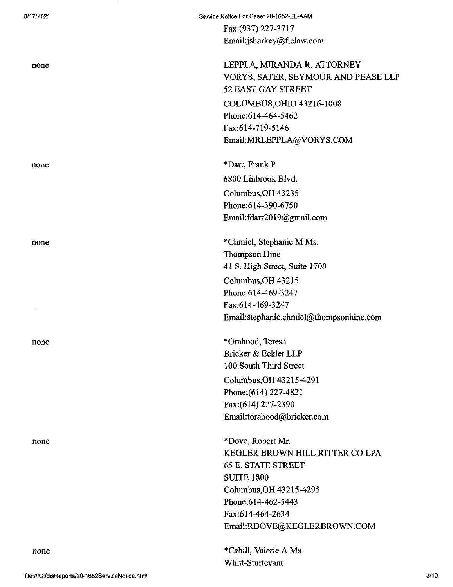none

none

none

Fax:(937) 227-3717 Email:jsharkey@ficlaw.com

LEPPLA, MIRANDA R. ATTORNEY VORYS, SATER, SEYMOUR AND PEASE LLP 52 EAST GAY STREET COLUMBUS^OHIO 43216-1008 Phone:614-464-5462 Fax:614-719-5146 Email:MRLEPPLA@VORYS.COM

none  $\overline{D}$ arr, Frank P. 6800 Linbrook Blvd. Columbus,OH 43235 Phone:614-390-6750 Email:fdarr2019@gmail.com

none \*Chmiel, Stephanie M Ms. Thompson Hine 41 S. High Street, Suite 1700 Columbus,OH 43215 Phone:614-469-3247 Fax:614-469-3247 Email:stephanie.chmiel@thompsonhine.com

none \*Orahood, Teresa Bricker & Eckler LLP 100 South Third Street Columbus,OH 43215-4291 Phone:(614) 227-4821 Fax:(614) 227-2390 Email:torahood@bricker.com

> \*Dove, Robert Mr. KEGLER BROWN HILL RITTER CO LPA 65 E. STATE STREET SUITE 1800 Columbus,OH 43215-4295 Phone:614-462-5443 Fax:614-464-2634 Email:RDOVE@KEGLERBROWN.COM

\*Cahill, Valerie A Ms. Whitt-Sturtevant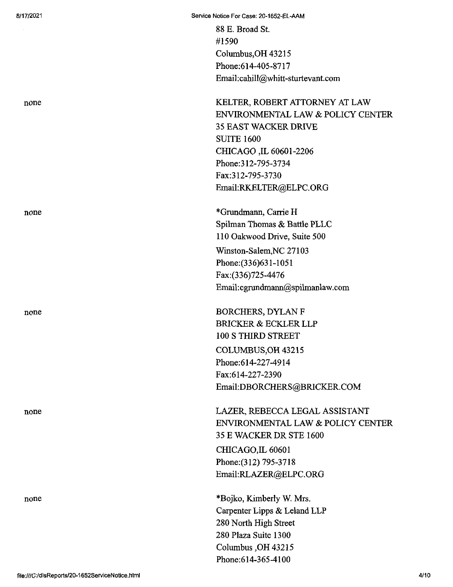88 E. Broad St. #1590 Columbus,OH 43215 Phone;614-405-8717 Email:cahill@whitt-sturtevant.com

none **KELTER, ROBERT ATTORNEY AT LAW** ENVIRONMENTAL LAW & POLICY CENTER 35 EAST WACKER DRIVE SUITE 1600 CHICAGO ,IL 60601-2206 Phone:312-795-3734 Fax:312-795-3730 Email:RKELTER@ELPC.ORG

none \*Grundmann, Carrie H Spilman Thomas & Battle PLLC 110 Oakwood Drive, Suite 500 Winston-Salem,NC 27103 Phone:(336)631-1051 Fax:(336)725-4476 Email:cgnmdmann@spilmanlaw.com

none BORCHERS, DYLAN F BRICKER & ECKLER LLP 100 S THIRD STREET COLUMBUS,OH 43215 Phone:614-227-4914 Fax:614-227-2390 Email:DBORCHERS@BRICKER.COM

none LAZER, REBECCA LEGAL ASSISTANT ENVIRONMENTAL LAW & POLICY CENTER 35 E WACKER DR STE 1600 CHICAGO,IL 60601 Phone:(312) 795-3718 Email:RLAZER@ELPC.ORG

none \*Bojko, Kimberly W. Mrs. Carpenter Lipps & Leland LLP 280 North High Street 280 Plaza Suite 1300 Columbus ,OH 43215 Phone:614-365-4100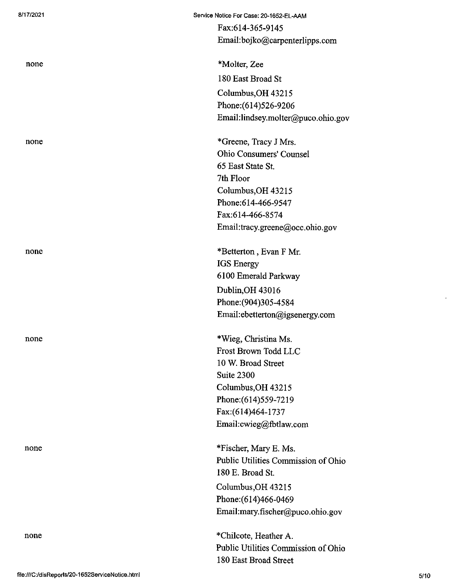none

8/17/2021 Service Notice For Case: 20-1652-EL-AAM Fax:614-365-9145

none \*Molter, Zee 180 East Broad St Columbus,OH 43215 Phone:(614)526-9206

Email:lindsey.molter@puco.ohio.gov

Email:bojko@carpenterlipps.com

none \*Greene, Tracy J Mrs. Ohio Consumers' Counsel 65 East State St. 7th Floor Columbus,OH 43215 Phone:614-466-9547 Fax:614-466-8574 Email:tracy.greene@occ.ohio.gov

none \*Betterton, Evan F Mr. IGS Energy 6100 Emerald Parkway Dublin,OH 43016 Phone:(904)305-4584 EmaiI:ebetterton@igsenergy.com

none \*Wieg, Christina Ms. Frost Brown Todd LLC 10 W. Broad Street Suite 2300 Columbus,OH 43215 Phone:(614)559-7219 Fax:(614)464-1737 Email:cwieg@fbtlaw.com

none \*Fischer, Mary E. Ms. Public Utilities Commission of Ohio 180 E. Broad St.

> Columbus,OH 43215 Phone;(614)466-0469 Email:mary.fischer@puco.ohio.gov

\*Chilcote, Heather A. Public Utilities Commission of Ohio 180 East Broad Street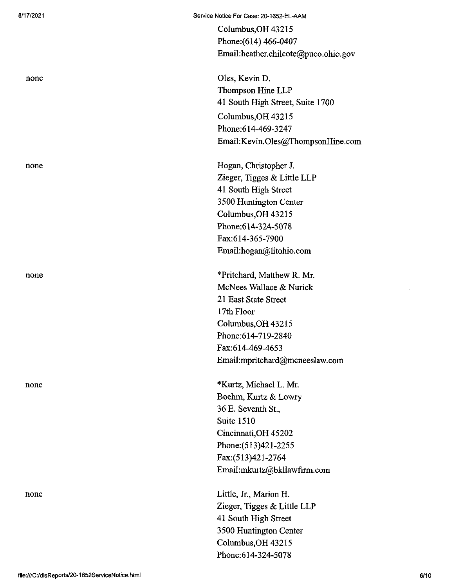Columbus,OH 43215 Phone:(614) 466-0407 Email:heather.chilcote@puco.ohio.gov

none Oles, Kevin D. Thompson Hine LLP 41 South High Street, Suite 1700 Columbus,OH 43215 Phone:614-469-3247 Email:Kevin.01es@ThompsonHine.com

none Hogan, Christopher J. Zieger, Tigges & Little LLP 41 South High Street 3500 Huntington Center Columbus,OH 43215 Phone:614-324-5078 Fax:614-365-7900 Email:hogan@litohio.com

none \*Pritchard, Matthew R. Mr. McNees Wallace & Nurick 21 East State Street 17th Floor Columbus,OH 43215 Phone:614-719-2840 Fax:614-469-4653 Email:mpritchard@mcneeslaw.com

none \*Kurtz, Michael L. Mr. Boehm, Kurtz & Lowry 36 E. Seventh St., Suite 1510 Cincinnati,OH 45202 Phone:(513)421-2255 Fax:(513)421-2764 Email:mkurtz@bkllawfirm.com

none Little, Jr., Marion H. Zieger, Tigges & Little LLP 41 South High Street 3500 Huntington Center Columbus,OH 43215 Phone:614-324-5078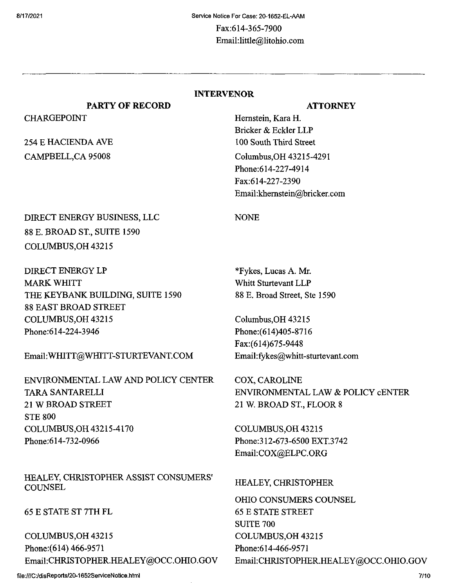CHARGEPOINT

254 E HACIENDA AVE CAMPBELL,CA 95008

NONE

## INTERVENOR

## **ATTORNEY**

Hemstein, Kara H. Bricker & Eckler LLP 100 South Third Street Columbus,OH 43215-4291 Phone:614-227-4914 Fax:614-227-2390 Email:khemstein@bricker.com

# DIRECT ENERGY BUSINESS, LLC 88 E. BROAD ST, SUITE 1590 COLUMBUS,OH 43215

**PARTY OF RECORD**

DIRECT ENERGY LP MARK WHITT THE KEYBANK BUILDING, SUITE 1590 88 EAST BROAD STREET COLUMBUS,OH 43215 Phone:614-224-3946

## Email:WHITT@WHITT-STURTEVANT.COM

ENVIRONMENTAL LAW AND POLICY CENTER TARA SANTARELLI 21 W BROAD STREET STE 800 COLUMBUS,OH 43215-4170 Phone:614-732-0966

## HEALEY, CHRISTOPHER ASSIST CONSUMERS' **COUNSEL**

65 E STATE ST 7TH FL

COLUMBUS,OH 43215 Phone:(614) 466-9571 Email:CHRISTOPHER.HEALEY@OCC.OHIO.GOV

**file;///C:/disReports/20-1652ServiceNotice.html**

\*Fykes, Lucas A. Mr. Whitt Sturtevant LLP

88 E. Broad Street, Ste 1590

Columbus,OH 43215 Phone:(614)405-8716 Fax:(614)675-9448

Email:fykes@whitt-sturtevant.com

COX, CAROLINE ENVIRONMENTAL LAW & POLICY cENTER 21 W. BROAD ST, FLOOR 8

COLUMBUS,OH 43215 Phone:312-673-6500 EXT.3742 Email:COX@ELPC.ORG

## HEALEY, CHRISTOPHER

OHIO CONSUMERS COUNSEL 65 E STATE STREET SUITE 700 COLUMBUS,OH 43215 Phone:614-466-9571 Email;CHRISTOPHER.HEALEY@OCC.OHIO.GOV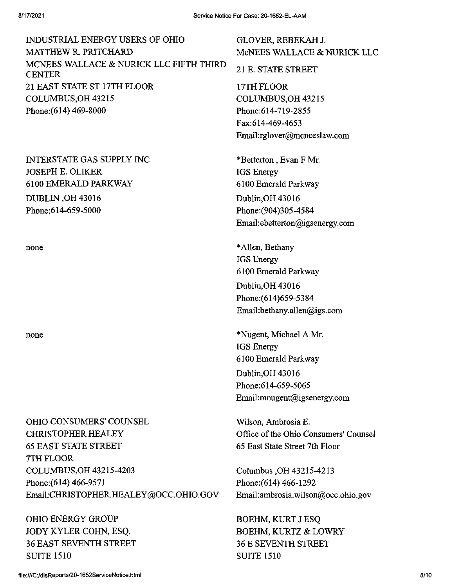| INDUSTRIAL ENERGY USERS OF OHIO                   |
|---------------------------------------------------|
| MATTHEW R. PRITCHARD                              |
| MCNEES WALLACE & NURICK LLC FIFTH THIRD<br>CENTER |
| 21 EAST STATE ST 17TH FLOOR                       |
| COLUMBUS, OH 43215                                |
| Phone:(614) 469-8000                              |
|                                                   |

INTERSTATE GAS SUPPLY INC JOSEPH E. OLIKER 6100 EMERALD PARKWAY DUBLIN ,OH 43016 Phone:614-659-5000

OHIO CONSUMERS' COUNSEL CHRISTOPHER HEALEY 65 EAST STATE STREET 7TH FLOOR COLUMBUS,OH 43215-4203 Phone:(614) 466-9571 Email;CHRISTOPHER.HEALEY@OCC.OHIO.GOV

OHIO ENERGY GROUP JODY KYLER COHN, ESQ. 36 EAST SEVENTH STREET SUITE 1510

GLOVER, REBEKAHJ. McNEES WALLACE & NURICK LLC 21 E. STATE STREET 17TH FLOOR COLUMBUS,OH 43215 Phone;614-719-2855 Fax:614-469-4653 Email:rglover@mcneeslaw.com \*Betterton , Evan F Mr. IGS Energy 6100 Emerald Parkway Dublin,OH 43016 Phone:(904)305-4584 Email:ebetterton@igsenergy.com none \*Allen, Bethany IGS Energy 6100 Emerald Parkway Dublin,OH 43016 Phone:(614)659-5384 Email:bethany.allen@igs.com none \*Nugent, Michael A Mr. IGS Energy 6100 Emerald Parkway Dublin,OH 43016

Phone:614-659-5065 Email:mnugent@igsenergy.com

Wilson, Ambrosia E. Office of the Ohio Consumers' Counsel 65 East State Street 7th Floor

Columbus ,OH 43215-4213 Phone:(614) 466-1292 Email: ambrosia.wilson@occ.ohio.gov

BOEHM, KURT J ESQ BOEHM, KURTZ & LOWRY 36 E SEVENTH STREET SUITE 1510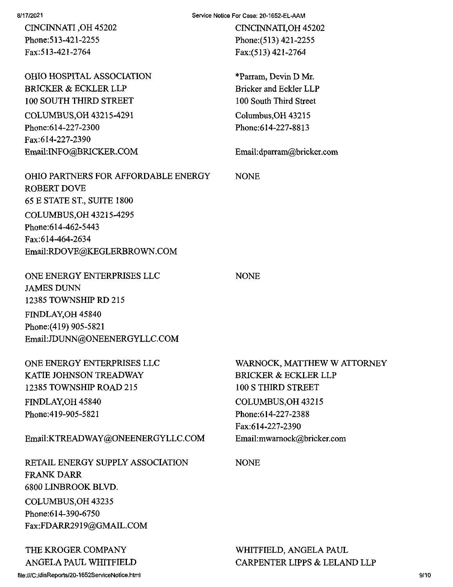CINCINNATI ,OH 45202 Phone:513-421-2255 Fax:513-421-2764

OHIO HOSPITAL ASSOCIATION BRICKER & ECKLER LLP 100 SOUTH THIRD STREET COLUMBUS,OH 43215-4291 Phone:614-227-2300 Fax:614-227-2390 Email:INFO@BRICKER.COM

Service Notice For Case: 20-1652-EL-AAM

NONE

NONE

CINCINNATI, OH 45202 Phone:(513) 421-2255 Fax:(513) 421-2764

\*Parram, Devin D Mr. Bricker and Eckler LLP 100 South Third Street Columbus,OH 43215 Phone:614-227-8813

Email:dparram@bricker.com

OHIO PARTNERS FOR AFFORDABLE ENERGY ROBERT DOVE 65 E STATE ST, SUITE 1800 COLUMBUS,OH 43215-4295 Phone:614-462-5443 Fax:614-464-2634 Email:RDOVE@KEGLERBROWN.COM

ONE ENERGY ENTERPRISES LLC JAMES DUNN 12385 TOWNSHIP RD 215 FINDLAY,OH 45840 Phone:(419) 905-5821 Email:JDUNN@ONEENERGYLLC.COM

ONE ENERGY ENTERPRISES LLC KATIE JOHNSON TREADWAY 12385 TOWNSHIP ROAD 215 FINDLAY,OH 45840 Phone:419-905-5821

Email:KTREADWAY@ONEENERGYLLC.COM

RETAIL ENERGY SUPPLY ASSOCIATION FRANK DARR 6800 LINBROOK BLVD. COLUMBUS,OH 43235 Phone:614-390-6750 Fax:FDARR2919@GMAIL.COM

THE KROGER COMPANY ANGELA PAUL WHITFIELD

file:///C:/disReporls/20-1652ServiceNotice.html

WARNOCK, MATTHEW W ATTORNEY BRICKER & ECKLER LLP 100 S THIRD STREET COLUMBUS,OH 43215 Phone:614-227-2388 Fax:614-227-2390 Email:mwamock@bricker.com

NONE

WHITFIELD, ANGELA PAUL CARPENTER LIPPS & LELAND LLP